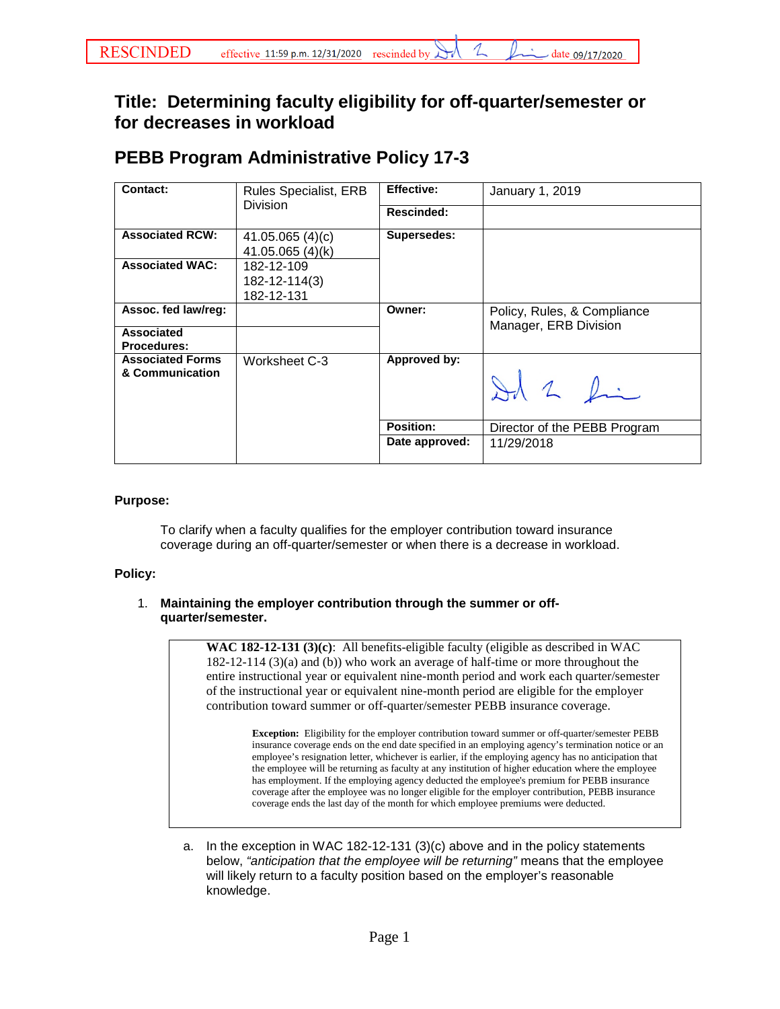## **Title: Determining faculty eligibility for off-quarter/semester or for decreases in workload**

# **PEBB Program Administrative Policy 17-3**

| Contact:                                                | <b>Rules Specialist, ERB</b><br><b>Division</b> | <b>Effective:</b> | January 1, 2019                                      |
|---------------------------------------------------------|-------------------------------------------------|-------------------|------------------------------------------------------|
|                                                         |                                                 | Rescinded:        |                                                      |
| <b>Associated RCW:</b>                                  | 41.05.065 $(4)(c)$<br>41.05.065 (4)(k)          | Supersedes:       |                                                      |
| <b>Associated WAC:</b>                                  | 182-12-109<br>182-12-114(3)<br>182-12-131       |                   |                                                      |
| Assoc. fed law/reg:<br>Associated<br><b>Procedures:</b> |                                                 | Owner:            | Policy, Rules, & Compliance<br>Manager, ERB Division |
| <b>Associated Forms</b><br>& Communication              | Worksheet C-3                                   | Approved by:      | Id 2 Ri                                              |
|                                                         |                                                 | Position:         | Director of the PEBB Program                         |
|                                                         |                                                 | Date approved:    | 11/29/2018                                           |

### **Purpose:**

To clarify when a faculty qualifies for the employer contribution toward insurance coverage during an off-quarter/semester or when there is a decrease in workload.

#### **Policy:**

### 1. **Maintaining the employer contribution through the summer or offquarter/semester.**

**WAC 182-12-131 (3)(c)**: All benefits-eligible faculty (eligible as described in WAC 182-12-114 (3)(a) and (b)) who work an average of half-time or more throughout the entire instructional year or equivalent nine-month period and work each quarter/semester of the instructional year or equivalent nine-month period are eligible for the employer contribution toward summer or off-quarter/semester PEBB insurance coverage.

**Exception:** Eligibility for the employer contribution toward summer or off-quarter/semester PEBB insurance coverage ends on the end date specified in an employing agency's termination notice or an employee's resignation letter, whichever is earlier, if the employing agency has no anticipation that the employee will be returning as faculty at any institution of higher education where the employee has employment. If the employing agency deducted the employee's premium for PEBB insurance coverage after the employee was no longer eligible for the employer contribution, PEBB insurance coverage ends the last day of the month for which employee premiums were deducted.

a. In the exception in WAC 182-12-131 (3)(c) above and in the policy statements below, *"anticipation that the employee will be returning"* means that the employee will likely return to a faculty position based on the employer's reasonable knowledge.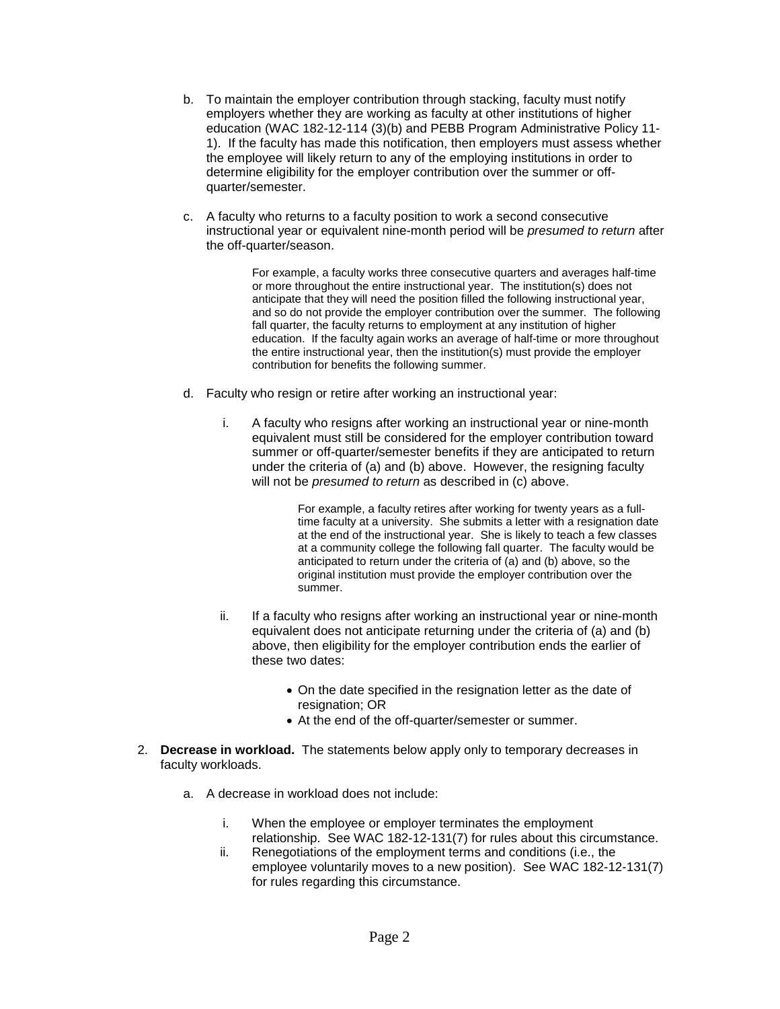- b. To maintain the employer contribution through stacking, faculty must notify employers whether they are working as faculty at other institutions of higher education (WAC 182-12-114 (3)(b) and PEBB Program Administrative Policy 11- 1). If the faculty has made this notification, then employers must assess whether the employee will likely return to any of the employing institutions in order to determine eligibility for the employer contribution over the summer or offquarter/semester.
- c. A faculty who returns to a faculty position to work a second consecutive instructional year or equivalent nine-month period will be *presumed to return* after the off-quarter/season.

For example, a faculty works three consecutive quarters and averages half-time or more throughout the entire instructional year. The institution(s) does not anticipate that they will need the position filled the following instructional year, and so do not provide the employer contribution over the summer. The following fall quarter, the faculty returns to employment at any institution of higher education. If the faculty again works an average of half-time or more throughout the entire instructional year, then the institution(s) must provide the employer contribution for benefits the following summer.

- d. Faculty who resign or retire after working an instructional year:
	- i. A faculty who resigns after working an instructional year or nine-month equivalent must still be considered for the employer contribution toward summer or off-quarter/semester benefits if they are anticipated to return under the criteria of (a) and (b) above. However, the resigning faculty will not be *presumed to return* as described in (c) above.

For example, a faculty retires after working for twenty years as a fulltime faculty at a university. She submits a letter with a resignation date at the end of the instructional year. She is likely to teach a few classes at a community college the following fall quarter. The faculty would be anticipated to return under the criteria of (a) and (b) above, so the original institution must provide the employer contribution over the summer.

- ii. If a faculty who resigns after working an instructional year or nine-month equivalent does not anticipate returning under the criteria of (a) and (b) above, then eligibility for the employer contribution ends the earlier of these two dates:
	- On the date specified in the resignation letter as the date of resignation; OR
	- At the end of the off-quarter/semester or summer.
- 2. **Decrease in workload.** The statements below apply only to temporary decreases in faculty workloads.
	- a. A decrease in workload does not include:
		- i. When the employee or employer terminates the employment relationship. See WAC 182-12-131(7) for rules about this circumstance.
		- ii. Renegotiations of the employment terms and conditions (i.e., the employee voluntarily moves to a new position). See WAC 182-12-131(7) for rules regarding this circumstance.